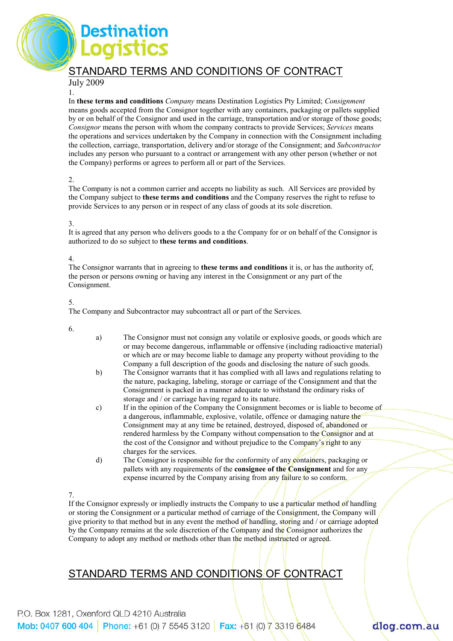

#### July 2009 1.

estination

In these terms and conditions Company means Destination Logistics Pty Limited; Consignment means goods accepted from the Consignor together with any containers, packaging or pallets supplied by or on behalf of the Consignor and used in the carriage, transportation and/or storage of those goods; Consignor means the person with whom the company contracts to provide Services; Services means the operations and services undertaken by the Company in connection with the Consignment including the collection, carriage, transportation, delivery and/or storage of the Consignment; and Subcontractor includes any person who pursuant to a contract or arrangement with any other person (whether or not the Company) performs or agrees to perform all or part of the Services.

### 2.

The Company is not a common carrier and accepts no liability as such. All Services are provided by the Company subject to these terms and conditions and the Company reserves the right to refuse to provide Services to any person or in respect of any class of goods at its sole discretion.

### 3.

It is agreed that any person who delivers goods to a the Company for or on behalf of the Consignor is authorized to do so subject to these terms and conditions.

### 4.

The Consignor warrants that in agreeing to **these terms and conditions** it is, or has the authority of, the person or persons owning or having any interest in the Consignment or any part of the Consignment.

### 5.

The Company and Subcontractor may subcontract all or part of the Services.

6.

- a) The Consignor must not consign any volatile or explosive goods, or goods which are or may become dangerous, inflammable or offensive (including radioactive material) or which are or may become liable to damage any property without providing to the Company a full description of the goods and disclosing the nature of such goods.
- b) The Consignor warrants that it has complied with all laws and regulations relating to the nature, packaging, labeling, storage or carriage of the Consignment and that the Consignment is packed in a manner adequate to withstand the ordinary risks of storage and / or carriage having regard to its nature.
- c) If in the opinion of the Company the Consignment becomes or is liable to become of a dangerous, inflammable, explosive, volatile, offence or damaging nature the Consignment may at any time be retained, destroyed, disposed of, abandoned or rendered harmless by the Company without compensation to the Consignor and at the cost of the Consignor and without prejudice to the Company's right to any charges for the services.
- d) The Consignor is responsible for the conformity of any containers, packaging or pallets with any requirements of the **consignee of the Consignment** and for any expense incurred by the Company arising from any failure to so conform.

### 7.

If the Consignor expressly or impliedly instructs the Company to use a particular method of handling or storing the Consignment or a particular method of carriage of the Consignment, the Company will give priority to that method but in any event the method of handling, storing and / or carriage adopted by the Company remains at the sole discretion of the Company and the Consignor authorizes the Company to adopt any method or methods other than the method instructed or agreed.

dlog.com.au

### STANDARD TERMS AND CONDITIONS OF CONTRACT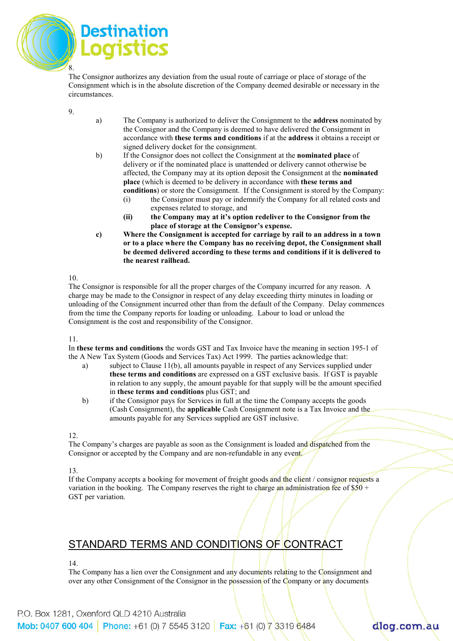

The Consignor authorizes any deviation from the usual route of carriage or place of storage of the Consignment which is in the absolute discretion of the Company deemed desirable or necessary in the circumstances.

9.

- a) The Company is authorized to deliver the Consignment to the address nominated by the Consignor and the Company is deemed to have delivered the Consignment in accordance with these terms and conditions if at the address it obtains a receipt or signed delivery docket for the consignment.
- b) If the Consignor does not collect the Consignment at the nominated place of delivery or if the nominated place is unattended or delivery cannot otherwise be affected, the Company may at its option deposit the Consignment at the nominated place (which is deemed to be delivery in accordance with these terms and conditions) or store the Consignment. If the Consignment is stored by the Company:
	- (i) the Consignor must pay or indemnify the Company for all related costs and expenses related to storage, and
	- (ii) the Company may at it's option redeliver to the Consignor from the place of storage at the Consignor's expense.
- c) Where the Consignment is accepted for carriage by rail to an address in a town or to a place where the Company has no receiving depot, the Consignment shall be deemed delivered according to these terms and conditions if it is delivered to the nearest railhead.

10.

The Consignor is responsible for all the proper charges of the Company incurred for any reason. A charge may be made to the Consignor in respect of any delay exceeding thirty minutes in loading or unloading of the Consignment incurred other than from the default of the Company. Delay commences from the time the Company reports for loading or unloading. Labour to load or unload the Consignment is the cost and responsibility of the Consignor.

11.

In these terms and conditions the words GST and Tax Invoice have the meaning in section 195-1 of the A New Tax System (Goods and Services Tax) Act 1999. The parties acknowledge that:

- a) subject to Clause 11(b), all amounts payable in respect of any Services supplied under these terms and conditions are expressed on a GST exclusive basis. If GST is payable in relation to any supply, the amount payable for that supply will be the amount specified in these terms and conditions plus GST; and
- b) if the Consignor pays for Services in full at the time the Company accepts the goods (Cash Consignment), the applicable Cash Consignment note is a Tax Invoice and the amounts payable for any Services supplied are GST inclusive.

12.

The Company's charges are payable as soon as the Consignment is loaded and dispatched from the Consignor or accepted by the Company and are non-refundable in any event.

13.

If the Company accepts a booking for movement of freight goods and the client / consignor requests a variation in the booking. The Company reserves the right to charge an administration fee of  $$50 +$ GST per variation.

## STANDARD TERMS AND CONDITIONS OF CONTRACT

14.

The Company has a lien over the Consignment and any documents relating to the Consignment and over any other Consignment of the Consignor in the possession of the Company or any documents

# dlog.com.au